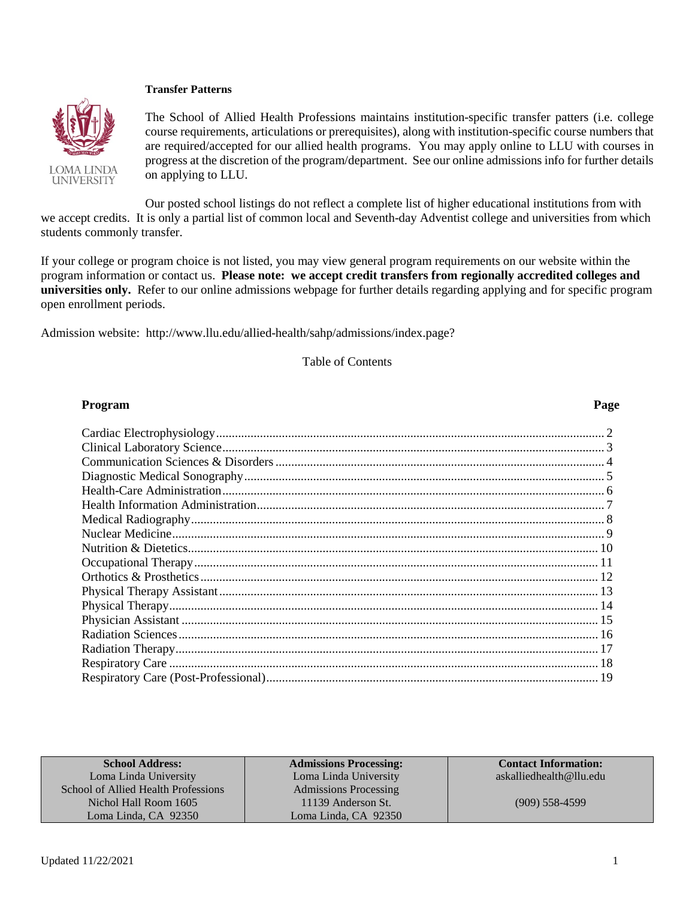### **Transfer Patterns**



The School of Allied Health Professions maintains institution-specific transfer patters (i.e. college course requirements, articulations or prerequisites), along with institution-specific course numbers that are required/accepted for our allied health programs. You may apply online to LLU with courses in progress at the discretion of the program/department. See our online admissions info for further details on applying to LLU.

Our posted school listings do not reflect a complete list of higher educational institutions from with we accept credits. It is only a partial list of common local and Seventh-day Adventist college and universities from which students commonly transfer.

If your college or program choice is not listed, you may view general program requirements on our website within the program information or contact us. **Please note: we accept credit transfers from regionally accredited colleges and universities only.** Refer to our online admissions webpage for further details regarding applying and for specific program open enrollment periods.

Admission website: http://www.llu.edu/allied-health/sahp/admissions/index.page?

Table of Contents

### **Program Page**

| <b>School Address:</b>              | <b>Admissions Processing:</b> | <b>Contact Information:</b> |
|-------------------------------------|-------------------------------|-----------------------------|
| Loma Linda University               | Loma Linda University         | askalliedhealth@llu.edu     |
| School of Allied Health Professions | <b>Admissions Processing</b>  |                             |
| Nichol Hall Room 1605               | 11139 Anderson St.            | $(909)$ 558-4599            |
| Loma Linda, CA 92350                | Loma Linda, CA 92350          |                             |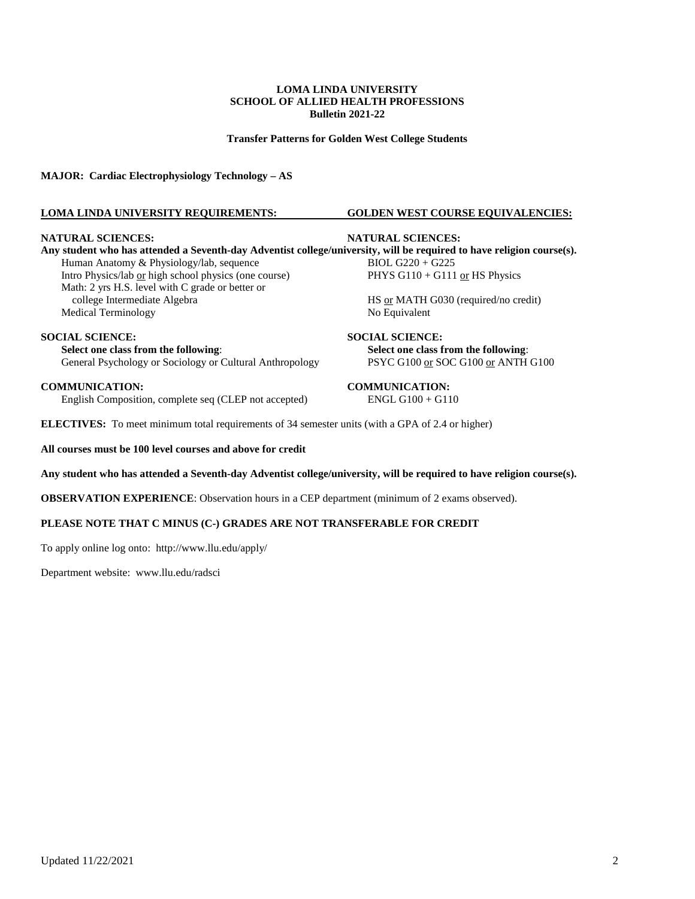**Transfer Patterns for Golden West College Students**

**MAJOR: Cardiac Electrophysiology Technology – AS**

### **LOMA LINDA UNIVERSITY REQUIREMENTS: GOLDEN WEST COURSE EQUIVALENCIES:**

#### **NATURAL SCIENCES: NATURAL SCIENCES:**

**Any student who has attended a Seventh-day Adventist college/university, will be required to have religion course(s).** Human Anatomy & Physiology/lab, sequence BIOL G220 + G225 Intro Physics/lab <u>or</u> high school physics (one course) PHYS G110 + G111 <u>or</u> HS Physics Math: 2 yrs H.S. level with C grade or better or college Intermediate Algebra HS or MATH G030 (required/no credit)<br>edical Terminology Mo Equivalent Medical Terminology

**SOCIAL SCIENCE: SOCIAL SCIENCE: Select one class from the following:**<br> **Select one class from the following:**<br> **Select one class from the following:**<br> **Select one class from the following:**<br> **SELECT ON SOCT ANTH G100** General Psychology or Sociology or Cultural Anthropology

**COMMUNICATION: COMMUNICATION:**  English Composition, complete seq (CLEP not accepted)

**ELECTIVES:** To meet minimum total requirements of 34 semester units (with a GPA of 2.4 or higher)

**All courses must be 100 level courses and above for credit**

### **Any student who has attended a Seventh-day Adventist college/university, will be required to have religion course(s).**

**OBSERVATION EXPERIENCE**: Observation hours in a CEP department (minimum of 2 exams observed).

### **PLEASE NOTE THAT C MINUS (C-) GRADES ARE NOT TRANSFERABLE FOR CREDIT**

To apply online log onto: <http://www.llu.edu/apply/>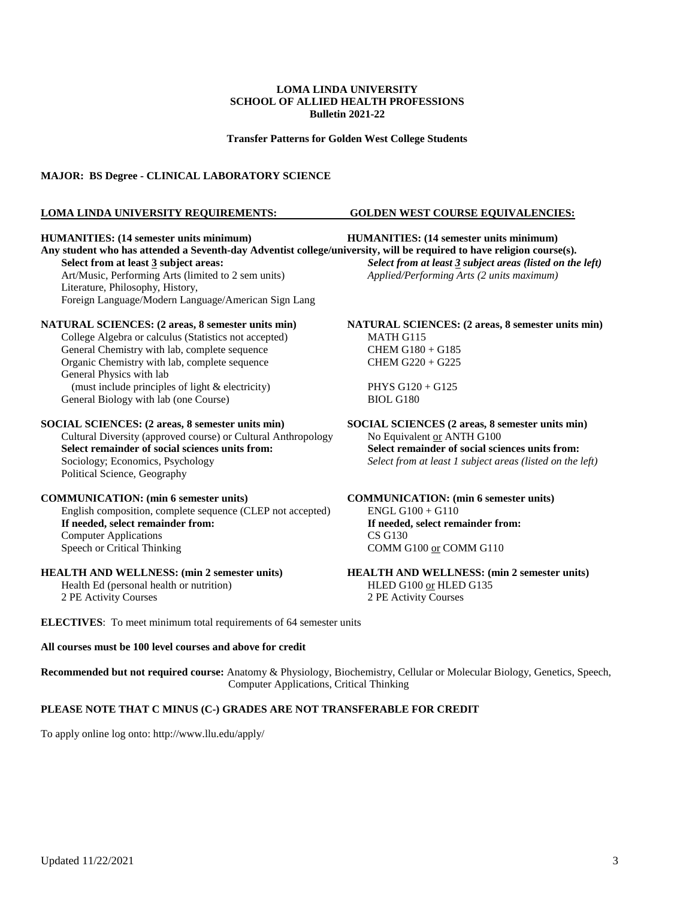**Transfer Patterns for Golden West College Students**

### **MAJOR: BS Degree - CLINICAL LABORATORY SCIENCE**

#### **LOMA LINDA UNIVERSITY REQUIREMENTS: GOLDEN WEST COURSE EQUIVALENCIES:**

**HUMANITIES: (14 semester units minimum) HUMANITIES: (14 semester units minimum) Any student who has attended a Seventh-day Adventist college/university, will be required to have religion course(s). Select from at least 3 subject areas:** *Select from at least 3 subject areas (listed on the left)* Art/Music, Performing Arts (limited to 2 sem units) *Applied/Performing Arts (2 units maximum)* Literature, Philosophy, History, Foreign Language/Modern Language/American Sign Lang **NATURAL SCIENCES: (2 areas, 8 semester units min) NATURAL SCIENCES: (2 areas, 8 semester units min)**  College Algebra or calculus (Statistics not accepted) MATH G115<br>
General Chemistry with lab, complete sequence CHEM G180 + G185 General Chemistry with lab, complete sequence Organic Chemistry with lab, complete sequence CHEM G220 + G225 General Physics with lab (must include principles of light  $\&$  electricity) PHYS G120 + G125 General Biology with lab (one Course) BIOL G180 **SOCIAL SCIENCES: (2 areas, 8 semester units min) SOCIAL SCIENCES (2 areas, 8 semester units min)**  Cultural Diversity (approved course) or Cultural Anthropology No Equivalent or ANTH G100 **Select remainder of social sciences units from: Select remainder of social sciences units from:** Sociology; Economics, Psychology *Select from at least 1 subject areas (listed on the left)* Political Science, Geography **COMMUNICATION: (min 6 semester units) COMMUNICATION: (min 6 semester units)** English composition, complete sequence (CLEP not accepted) If needed, select remainder from: **If needed, select remainder from: If needed, select remainder from:** Computer Applications CS G130 Speech or Critical Thinking COMM G100 or COMM G110

Health Ed (personal health or nutrition) HLED G100 or HLED G135 2 PE Activity Courses 2 PE Activity Courses

**HEALTH AND WELLNESS: (min 2 semester units) HEALTH AND WELLNESS: (min 2 semester units)**

**ELECTIVES**: To meet minimum total requirements of 64 semester units

#### **All courses must be 100 level courses and above for credit**

**Recommended but not required course:** Anatomy & Physiology, Biochemistry, Cellular or Molecular Biology, Genetics, Speech, Computer Applications, Critical Thinking

### **PLEASE NOTE THAT C MINUS (C-) GRADES ARE NOT TRANSFERABLE FOR CREDIT**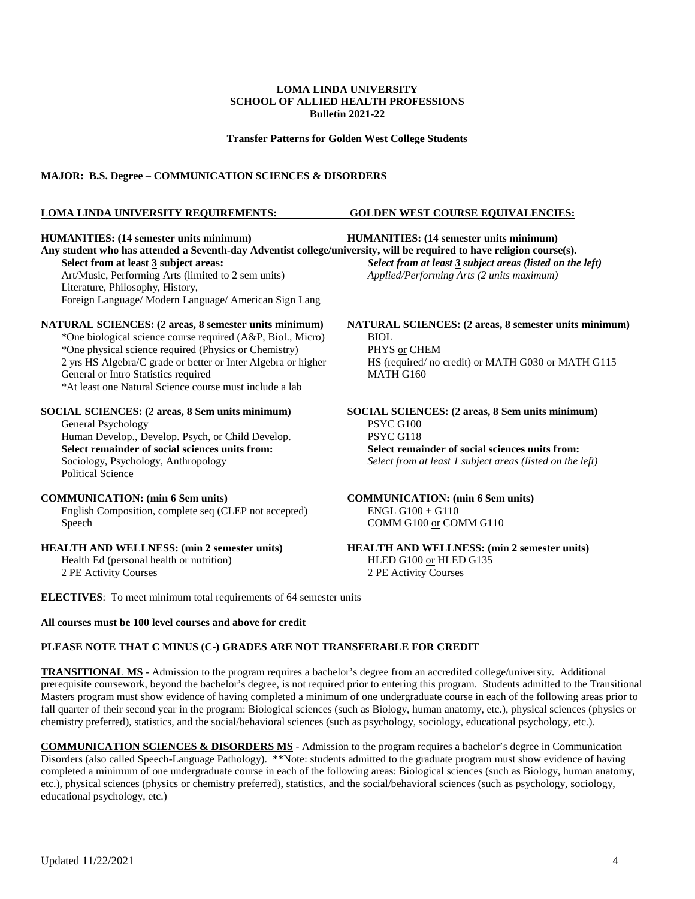**Transfer Patterns for Golden West College Students**

### **MAJOR: B.S. Degree – COMMUNICATION SCIENCES & DISORDERS**

### **LOMA LINDA UNIVERSITY REQUIREMENTS: GOLDEN WEST COURSE EQUIVALENCIES:**

**HUMANITIES: (14 semester units minimum) HUMANITIES: (14 semester units minimum) Any student who has attended a Seventh-day Adventist college/university, will be required to have religion course(s). Select from at least 3 subject areas:** *Select from at least 3 subject areas (listed on the left)* Art/Music, Performing Arts (limited to 2 sem units) *Applied/Performing Arts (2 units maximum)* Literature, Philosophy, History, Foreign Language/ Modern Language/ American Sign Lang **NATURAL SCIENCES: (2 areas, 8 semester units minimum) NATURAL SCIENCES: (2 areas, 8 semester units minimum)** \*One biological science course required (A&P, Biol., Micro) BIOL \*One physical science required (Physics or Chemistry) <br>2 yrs HS Algebra/C grade or better or Inter Algebra or higher HS (required/ no credit) <u>or</u> MATH G030 or MATH G115 2 yrs HS Algebra/C grade or better or Inter Algebra or higher General or Intro Statistics required MATH G160 \*At least one Natural Science course must include a lab **SOCIAL SCIENCES: (2 areas, 8 Sem units minimum) SOCIAL SCIENCES: (2 areas, 8 Sem units minimum)** General Psychology PSYC G100<br>
Human Develop.. Develop. Psych. or Child Develop. 2000<br>
PSYC G118 Human Develop., Develop. Psych, or Child Develop. **Select remainder of social sciences units from:**<br>Select remainder of social sciences units from:<br>Select from at least 1 subject areas (listed on the select from at least 1 subject areas (listed on the Select from at least 1 subject areas (listed on the left) Political Science **COMMUNICATION:** (min 6 Sem units)<br>
English Composition, complete seq (CLEP not accepted)<br>
ENGL G100 + G110 English Composition, complete seq (CLEP not accepted) Speech COMM G100 or COMM G110 **HEALTH AND WELLNESS: (min 2 semester units) HEALTH AND WELLNESS: (min 2 semester units)** Health Ed (personal health or nutrition) HLED G100 or HLED G135 2 PE Activity Courses 2 PE Activity Courses

**ELECTIVES**: To meet minimum total requirements of 64 semester units

### **All courses must be 100 level courses and above for credit**

### **PLEASE NOTE THAT C MINUS (C-) GRADES ARE NOT TRANSFERABLE FOR CREDIT**

**TRANSITIONAL MS** - Admission to the program requires a bachelor's degree from an accredited college/university. Additional prerequisite coursework, beyond the bachelor's degree, is not required prior to entering this program. Students admitted to the Transitional Masters program must show evidence of having completed a minimum of one undergraduate course in each of the following areas prior to fall quarter of their second year in the program: Biological sciences (such as Biology, human anatomy, etc.), physical sciences (physics or chemistry preferred), statistics, and the social/behavioral sciences (such as psychology, sociology, educational psychology, etc.).

**COMMUNICATION SCIENCES & DISORDERS MS** - Admission to the program requires a bachelor's degree in Communication Disorders (also called Speech-Language Pathology). \*\*Note: students admitted to the graduate program must show evidence of having completed a minimum of one undergraduate course in each of the following areas: Biological sciences (such as Biology, human anatomy, etc.), physical sciences (physics or chemistry preferred), statistics, and the social/behavioral sciences (such as psychology, sociology, educational psychology, etc.)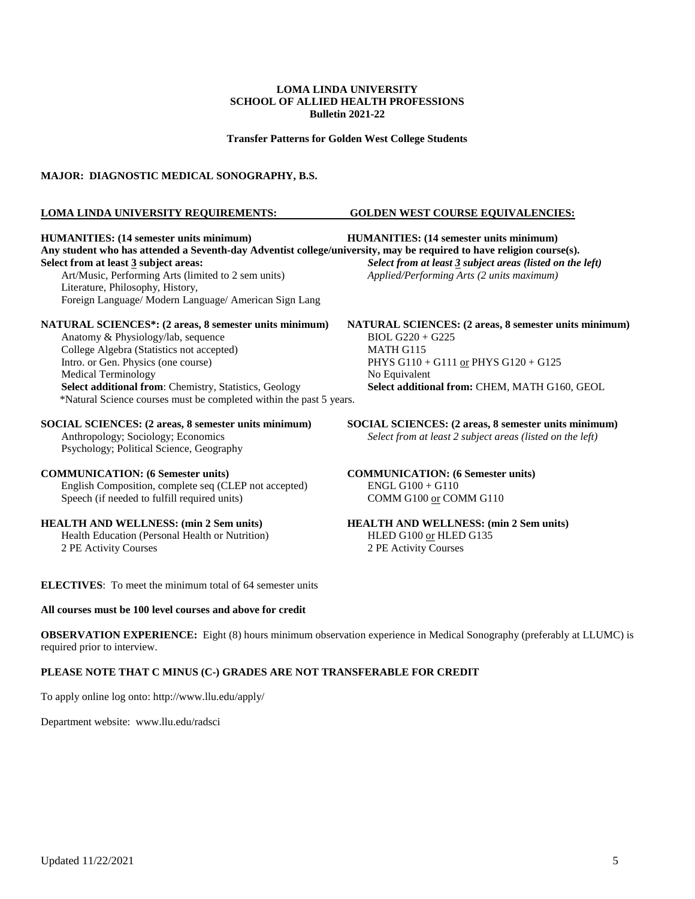**Transfer Patterns for Golden West College Students**

### **MAJOR: DIAGNOSTIC MEDICAL SONOGRAPHY, B.S.**

#### **LOMA LINDA UNIVERSITY REQUIREMENTS: GOLDEN WEST COURSE EQUIVALENCIES:**

**HUMANITIES: (14 semester units minimum) HUMANITIES: (14 semester units minimum) Any student who has attended a Seventh-day Adventist college/university, may be required to have religion course(s). Select from at least 3 subject areas:** *Select from at least 3 subject areas (listed on the left)* Art/Music, Performing Arts (limited to 2 sem units) *Applied/Performing Arts (2 units maximum)* Literature, Philosophy, History, Foreign Language/ Modern Language/ American Sign Lang **NATURAL SCIENCES\*: (2 areas, 8 semester units minimum) NATURAL SCIENCES: (2 areas, 8 semester units minimum)** Anatomy & Physiology/lab, sequence BIOL G220 + College Algebra (Statistics not accepted) MATH G115 College Algebra (Statistics not accepted)<br>Intro. or Gen. Physics (one course) PHYS G110 + G111 or PHYS G120 + G125 Medical Terminology **No Equivalent** No Equivalent **Select additional from**: Chemistry, Statistics, Geology **Select additional from:** CHEM, MATH G160, GEOL \*Natural Science courses must be completed within the past 5 years. **SOCIAL SCIENCES:** (2 areas, 8 semester units minimum)<br>Anthropology; Sociology; Economics<br>Select from at least 2 subject areas (listed on the left) Select from at least 2 subject areas (listed on the left) Psychology; Political Science, Geography **COMMUNICATION: (6 Semester units) COMMUNICATION: (6 Semester units)** English Composition, complete seq (CLEP not accepted) ENGL G100 + G110<br>Speech (if needed to fulfill required units) COMM G100 <u>or</u> COMM G110 Speech (if needed to fulfill required units) **HEALTH AND WELLNESS: (min 2 Sem units) HEALTH AND WELLNESS: (min 2 Sem units)** Health Education (Personal Health or Nutrition) HLED G100 or HLED G135

2 PE Activity Courses 2 PE Activity Courses

**ELECTIVES**: To meet the minimum total of 64 semester units

### **All courses must be 100 level courses and above for credit**

**OBSERVATION EXPERIENCE:** Eight (8) hours minimum observation experience in Medical Sonography (preferably at LLUMC) is required prior to interview.

### **PLEASE NOTE THAT C MINUS (C-) GRADES ARE NOT TRANSFERABLE FOR CREDIT**

To apply online log onto:<http://www.llu.edu/apply/>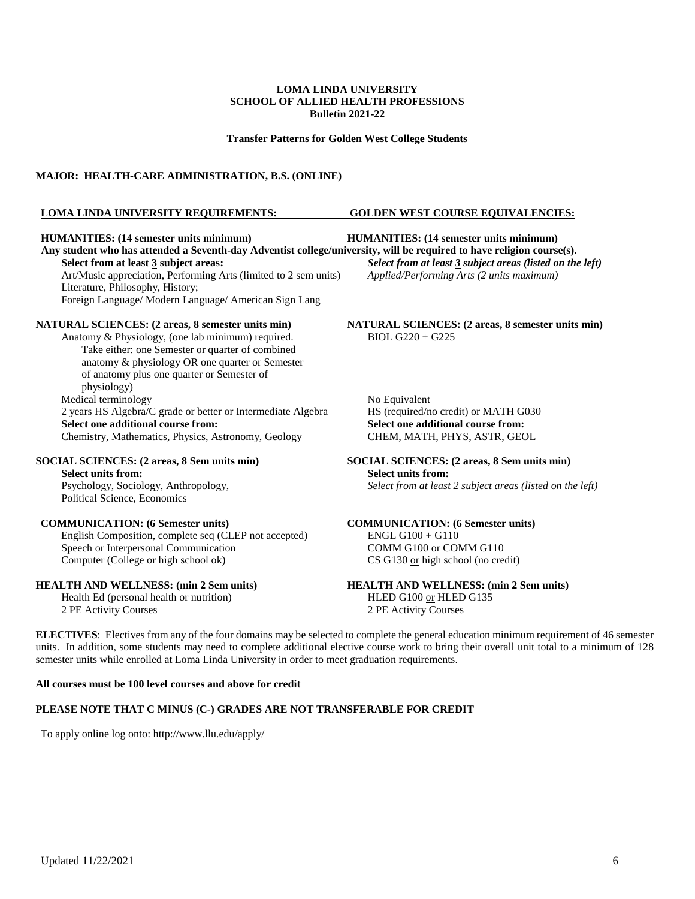**Transfer Patterns for Golden West College Students**

### **MAJOR: HEALTH-CARE ADMINISTRATION, B.S. (ONLINE)**

#### **LOMA LINDA UNIVERSITY REQUIREMENTS: GOLDEN WEST COURSE EQUIVALENCIES:**

**HUMANITIES: (14 semester units minimum) HUMANITIES: (14 semester units minimum)** Any student who has attended a Seventh-day Adventist college/university, will be required to have religion course(s).<br>Select from at least 3 subject areas (listed on the Art/Music appreciation, Performing Arts (limited to 2 sem units) Literature, Philosophy, History; Foreign Language/ Modern Language/ American Sign Lang

Anatomy & Physiology, (one lab minimum) required. Take either: one Semester or quarter of combined anatomy & physiology OR one quarter or Semester of anatomy plus one quarter or Semester of physiology) Medical terminology<br>
2 years HS Algebra/C grade or better or Intermediate Algebra<br>
MS (required/no credit) <u>or</u> MATH G030 2 years HS Algebra/C grade or better or Intermediate Algebra HS (required/no credit) <u>or</u> MATH G<br> **Select one additional course from:** Select one additional course from: **Select one additional course from:**<br> **Select one additional course from:**<br> **Select one additional course from:**<br> **Select one additional course from:**<br> **Select one additional course from:**<br> **Select one additional course fr** Chemistry, Mathematics, Physics, Astronomy, Geology

#### **SOCIAL SCIENCES: (2 areas, 8 Sem units min) SOCIAL SCIENCES: (2 areas, 8 Sem units min)**

**Select units from:** <br>Psychology, Sociology, Anthropology, <br>Select from at least Political Science, Economics

### **COMMUNICATION: (6 Semester units) COMMUNICATION: (6 Semester units)**

English Composition, complete seq (CLEP not accepted) ENGL G100 + G110 Speech or Interpersonal Communication COMM G100 or COMM G110 Computer (College or high school ok) CS G130 or high school (no credit)

Health Ed (personal health or nutrition) HLED G100 or HLED G135 2 PE Activity Courses 2 PE Activity Courses

**Select from at least 3 subject areas (listed on the left)** *Applied/Performing Arts (2 units maximum)* 

**NATURAL SCIENCES: (2 areas, 8 semester units min) NATURAL SCIENCES: (2 areas, 8 semester units min)**<br>Anatomy & Physiology, (one lab minimum) required. BIOL G220 + G225

Select from at least 2 subject areas (listed on the left)

**HEALTH AND WELLNESS: (min 2 Sem units) HEALTH AND WELLNESS: (min 2 Sem units)**

**ELECTIVES**: Electives from any of the four domains may be selected to complete the general education minimum requirement of 46 semester units. In addition, some students may need to complete additional elective course work to bring their overall unit total to a minimum of 128 semester units while enrolled at Loma Linda University in order to meet graduation requirements.

#### **All courses must be 100 level courses and above for credit**

### **PLEASE NOTE THAT C MINUS (C-) GRADES ARE NOT TRANSFERABLE FOR CREDIT**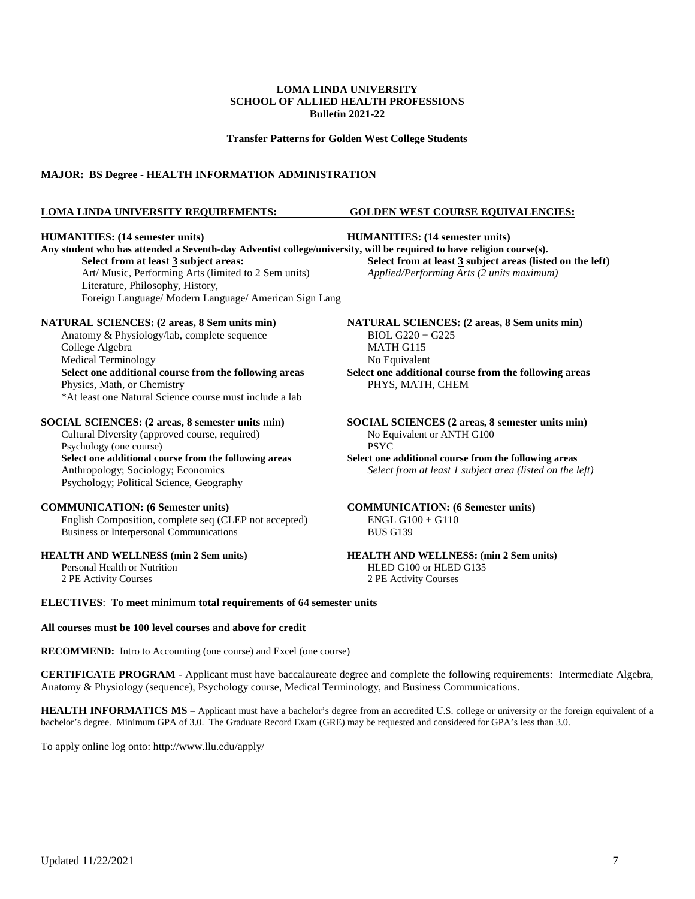**Transfer Patterns for Golden West College Students**

### **MAJOR: BS Degree - HEALTH INFORMATION ADMINISTRATION**

### **LOMA LINDA UNIVERSITY REQUIREMENTS: GOLDEN WEST COURSE EQUIVALENCIES:**

#### **HUMANITIES: (14 semester units) HUMANITIES: (14 semester units)**

Any student who has attended a Seventh-day Adventist college/university, will be required to have religion course(s).<br>Select from at least 3 subject areas:<br> $\frac{1}{2}$ Art/ Music, Performing Arts (limited to 2 Sem units) *Applied/Performing Arts (2 units maximum)* Literature, Philosophy, History, Foreign Language/ Modern Language/ American Sign Lang

#### **NATURAL SCIENCES: (2 areas, 8 Sem units min) NATURAL SCIENCES: (2 areas, 8 Sem units min)**

Anatomy & Physiology/lab, complete sequence BIOL G220 + G225 College Algebra MATH G115 Medical Terminology **No Equivalent** No Equivalent **Select one additional course from the following areas Select one additional course from the following areas** Physics, Math, or Chemistry PHYS, MATH, CHEM \*At least one Natural Science course must include a lab

#### **SOCIAL SCIENCES: (2 areas, 8 semester units min) SOCIAL SCIENCES (2 areas, 8 semester units min)**

Cultural Diversity (approved course, required) No Equivalent or ANTH G100 Psychology (one course) PSYC **Select one additional course from the following areas Select one additional course from the following areas** Psychology; Political Science, Geography

English Composition, complete seq (CLEP not accepted) Business or Interpersonal Communications BUS G139

## **Select from at least 3 subject areas (listed on the left)**

Anthropology; Sociology; Economics *Select from at least 1 subject area (listed on the left)*

**COMMUNICATION: (6 Semester units)**<br>
English Composition, complete seq (CLEP not accepted) ENGL G100 + G110

#### **HEALTH AND WELLNESS (min 2 Sem units)**<br>Personal Health or Nutrition **HEALTH AND WELLNESS: (min 2 Sem units)**<br>HLED G100 or HLED G135 Personal Health or Nutrition<br>
2 PE Activity Courses<br>
2 PE Activity Courses<br>
2 PE Activity Courses 2 PE Activity Courses 2 PE Activity Courses

**ELECTIVES**: **To meet minimum total requirements of 64 semester units**

### **All courses must be 100 level courses and above for credit**

**RECOMMEND:** Intro to Accounting (one course) and Excel (one course)

**CERTIFICATE PROGRAM** - Applicant must have baccalaureate degree and complete the following requirements: Intermediate Algebra, Anatomy & Physiology (sequence), Psychology course, Medical Terminology, and Business Communications.

**HEALTH INFORMATICS MS** – Applicant must have a bachelor's degree from an accredited U.S. college or university or the foreign equivalent of a bachelor's degree. Minimum GPA of 3.0. The Graduate Record Exam (GRE) may be requested and considered for GPA's less than 3.0.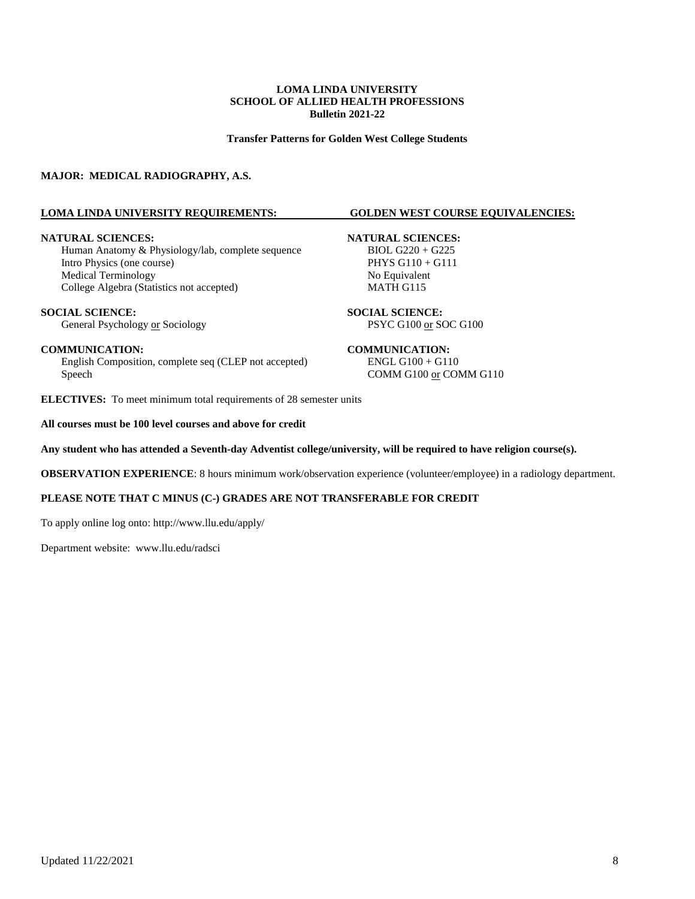**Transfer Patterns for Golden West College Students**

### **MAJOR: MEDICAL RADIOGRAPHY, A.S.**

### **LOMA LINDA UNIVERSITY REQUIREMENTS: GOLDEN WEST COURSE EQUIVALENCIES:**

**NATURAL SCIENCES:**<br>
Human Anatomy & Physiology/lab, complete sequence BIOL G220 + G225 Human Anatomy & Physiology/lab, complete sequence BIOL G220 + G225<br>Intro Physics (one course) PHYS G110 + G111 Intro Physics (one course) Medical Terminology No Equivalent College Algebra (Statistics not accepted) MATH G115

**SOCIAL SCIENCE:**<br> **SOCIAL SCIENCE:**<br> **SOCIAL SCIENCE:**<br> **SOCIAL SCIENCE:**<br>
PSYC G100 <u>or</u> SOC G100 General Psychology or Sociology

English Composition, complete seq (CLEP not accepted) ENGL G100 + G110 Speech COMM G100 or COMM G110

**ELECTIVES:** To meet minimum total requirements of 28 semester units

**All courses must be 100 level courses and above for credit**

### **Any student who has attended a Seventh-day Adventist college/university, will be required to have religion course(s).**

**OBSERVATION EXPERIENCE**: 8 hours minimum work/observation experience (volunteer/employee) in a radiology department.

### **PLEASE NOTE THAT C MINUS (C-) GRADES ARE NOT TRANSFERABLE FOR CREDIT**

To apply online log onto:<http://www.llu.edu/apply/>

Department website: [www.llu.edu/radsci](http://www.llu.edu/radsci)

#### **COMMUNICATION: COMMUNICATION:**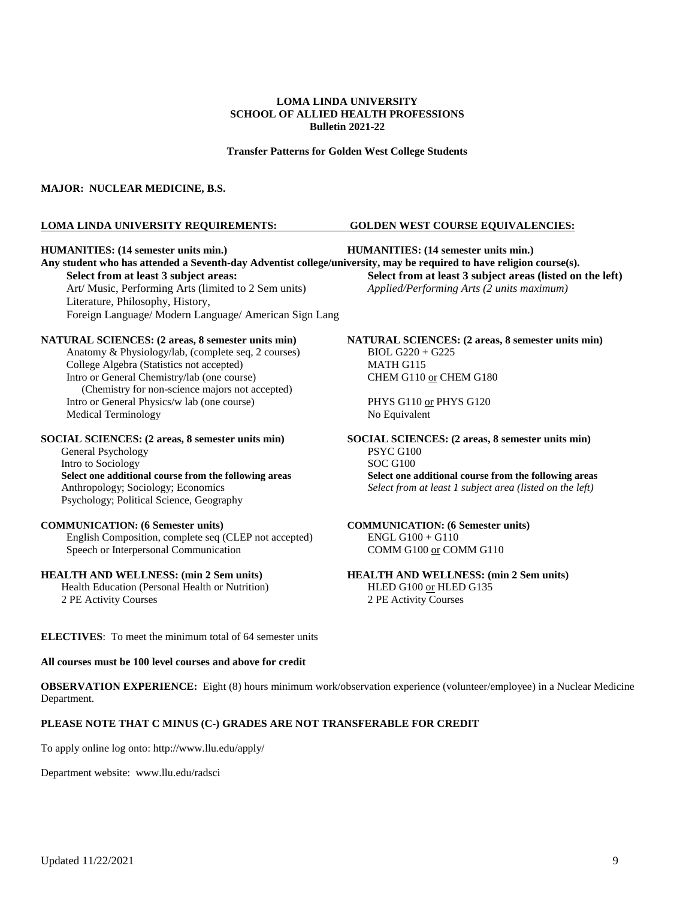#### **Transfer Patterns for Golden West College Students**

#### **MAJOR: NUCLEAR MEDICINE, B.S.**

#### **LOMA LINDA UNIVERSITY REQUIREMENTS: GOLDEN WEST COURSE EQUIVALENCIES:**

#### **HUMANITIES: (14 semester units min.) HUMANITIES: (14 semester units min.)**

**Any student who has attended a Seventh-day Adventist college/university, may be required to have religion course(s). Select from at least 3 subject areas: Select from at least 3 subject areas (listed on the left)** Art/ Music, Performing Arts (limited to 2 Sem units) *Applied/Performing Arts (2 units maximum)* Art/ Music, Performing Arts (limited to 2 Sem units) Literature, Philosophy, History, Foreign Language/ Modern Language/ American Sign Lang

#### **NATURAL SCIENCES: (2 areas, 8 semester units min) NATURAL SCIENCES: (2 areas, 8 semester units min)**

Anatomy & Physiology/lab, (complete seq, 2 courses) BIOL G220 + G225 College Algebra (Statistics not accepted) MATH G115 Intro or General Chemistry/lab (one course) CHEM G110 or CHEM G180 (Chemistry for non-science majors not accepted) Intro or General Physics/w lab (one course) PHYS G110 or PHYS G120 Medical Terminology No Equivalent

#### **SOCIAL SCIENCES: (2 areas, 8 semester units min) SOCIAL SCIENCES: (2 areas, 8 semester units min)**

General Psychology<br>
Intro to Sociology<br>
SOC G100 Intro to Sociology Psychology; Political Science, Geography

#### **COMMUNICATION: (6 Semester units) COMMUNICATION: (6 Semester units)**

English Composition, complete seq (CLEP not accepted) ENGL G100 + G110 Speech or Interpersonal Communication COMM G100 or COMM G110

### **HEALTH AND WELLNESS: (min 2 Sem units) HEALTH AND WELLNESS: (min 2 Sem units)**

Health Education (Personal Health or Nutrition) HLED G100 or HLED G135 2 PE Activity Courses 2 PE Activity Courses

**Select one additional course from the following areas Select one additional course from the following areas** Anthropology; Sociology; Economics *Select from at least 1 subject area (listed on the left)*

**ELECTIVES**: To meet the minimum total of 64 semester units

#### **All courses must be 100 level courses and above for credit**

**OBSERVATION EXPERIENCE:** Eight (8) hours minimum work/observation experience (volunteer/employee) in a Nuclear Medicine Department.

### **PLEASE NOTE THAT C MINUS (C-) GRADES ARE NOT TRANSFERABLE FOR CREDIT**

To apply online log onto:<http://www.llu.edu/apply/>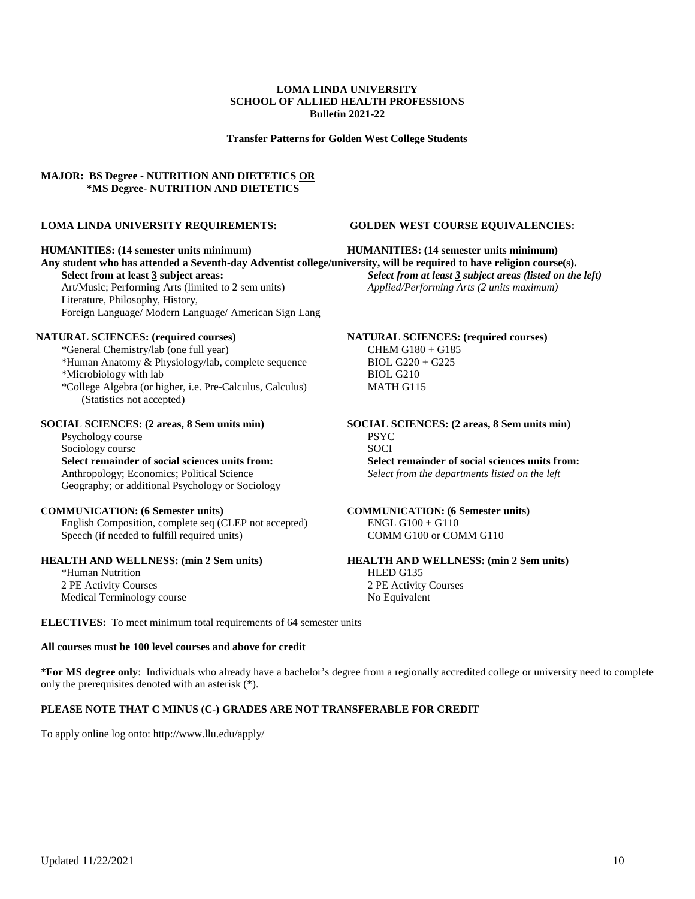**Transfer Patterns for Golden West College Students**

### **MAJOR: BS Degree - NUTRITION AND DIETETICS OR \*MS Degree- NUTRITION AND DIETETICS**

### **LOMA LINDA UNIVERSITY REQUIREMENTS: GOLDEN WEST COURSE EQUIVALENCIES:**

#### **HUMANITIES: (14 semester units minimum) HUMANITIES: (14 semester units minimum)**

**Any student who has attended a Seventh-day Adventist college/university, will be required to have religion course(s). Select from at least 3 subject areas:** *Select from at least 3 subject areas (listed on the left)* Art/Music; Performing Arts (limited to 2 sem units) *Applied/Performing Arts (2 units maximum)* Literature, Philosophy, History, Foreign Language/ Modern Language/ American Sign Lang

\*General Chemistry/lab (one full year) CHEM G180 + G185 \*Human Anatomy & Physiology/lab, complete sequence BIOL  $G220 + G225$ \*Microbiology with lab BIOL G210 \*College Algebra (or higher, i.e. Pre-Calculus, Calculus) MATH G115 (Statistics not accepted)

Psychology course PSYC<br>Sociology course PSYC<br>Sociology course Sociology course **Select remainder of social sciences units from:**<br>Anthropology; Economics; Political Science<br>Select from the departments listed on the left Geography; or additional Psychology or Sociology

#### **COMMUNICATION: (6 Semester units) COMMUNICATION: (6 Semester units)**

English Composition, complete seq (CLEP not accepted) ENGL G100 + G110 Speech (if needed to fulfill required units) COMM G100 or COMM G110

\*Human Nutrition HLED G135 2 PE Activity Courses 2 PE Activity Courses Medical Terminology course No Equivalent

**NATURAL SCIENCES: (required courses) NATURAL SCIENCES: (required courses)**

**SOCIAL SCIENCES:** (2 areas, 8 Sem units min)<br>
Psychology course<br> **SOCIAL SCIENCES:** (2 areas, 8 Sem units min)<br>
PSYC Select from the departments listed on the left

# **HEALTH AND WELLNESS: (min 2 Sem units) HEALTH AND WELLNESS: (min 2 Sem units)**

**ELECTIVES:** To meet minimum total requirements of 64 semester units

### **All courses must be 100 level courses and above for credit**

\***For MS degree only**: Individuals who already have a bachelor's degree from a regionally accredited college or university need to complete only the prerequisites denoted with an asterisk (\*).

### **PLEASE NOTE THAT C MINUS (C-) GRADES ARE NOT TRANSFERABLE FOR CREDIT**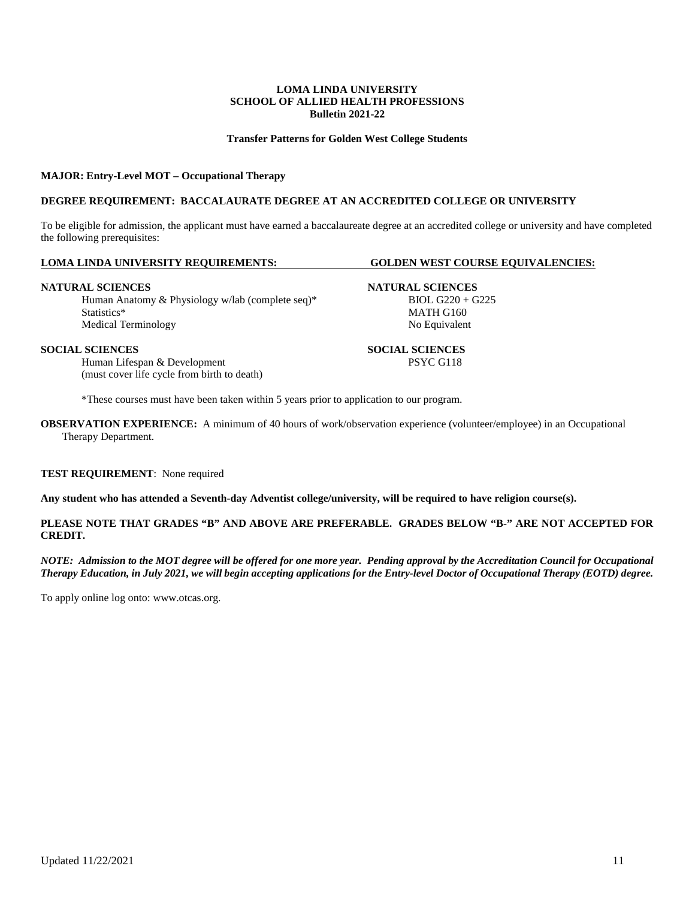### **Transfer Patterns for Golden West College Students**

#### **MAJOR: Entry-Level MOT – Occupational Therapy**

### **DEGREE REQUIREMENT: BACCALAURATE DEGREE AT AN ACCREDITED COLLEGE OR UNIVERSITY**

To be eligible for admission, the applicant must have earned a baccalaureate degree at an accredited college or university and have completed the following prerequisites:

### **LOMA LINDA UNIVERSITY REQUIREMENTS: GOLDEN WEST COURSE EQUIVALENCIES:**

#### **NATURAL SCIENCES NATURAL SCIENCES**

Human Anatomy & Physiology w/lab (complete seq)\* BIOL G220 + G225 Statistics\* MATH G160 Medical Terminology No Equivalent

Human Lifespan & Development (must cover life cycle from birth to death)

\*These courses must have been taken within 5 years prior to application to our program.

**OBSERVATION EXPERIENCE:** A minimum of 40 hours of work/observation experience (volunteer/employee) in an Occupational Therapy Department.

#### **TEST REQUIREMENT**: None required

**Any student who has attended a Seventh-day Adventist college/university, will be required to have religion course(s).**

### **PLEASE NOTE THAT GRADES "B" AND ABOVE ARE PREFERABLE. GRADES BELOW "B-" ARE NOT ACCEPTED FOR CREDIT.**

*NOTE: Admission to the MOT degree will be offered for one more year. Pending approval by the Accreditation Council for Occupational Therapy Education, in July 2021, we will begin accepting applications for the Entry-level Doctor of Occupational Therapy (EOTD) degree.*

To apply online log onto: [www.otcas.org.](http://www.otcas.org./)

Updated 11/22/2021 11

**SOCIAL SCIENCES**<br> **SOCIAL SCIENCES**<br> **SOCIAL SCIENCES**<br> **SOCIAL SCIENCES**<br> **SOCIAL SCIENCES**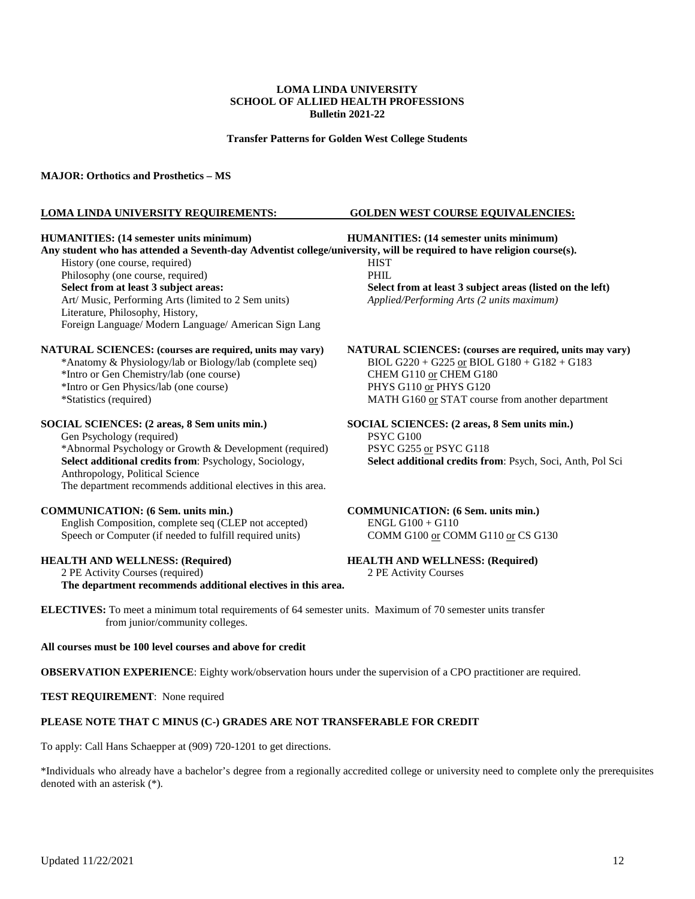**Transfer Patterns for Golden West College Students**

#### **MAJOR: Orthotics and Prosthetics – MS**

#### **LOMA LINDA UNIVERSITY REQUIREMENTS: GOLDEN WEST COURSE EQUIVALENCIES:**

**Any student who has attended a Seventh-day Adventist college/university, will be required to have religion course(s).** History (one course, required) HIST Philosophy (one course, required) PHIL **Select from at least 3 subject areas: Select from at least 3 subject areas (listed on the left)** Art/ Music, Performing Arts (limited to 2 Sem units) *Applied/Performing Arts (2 units maximum)* Art/ Music, Performing Arts (limited to 2 Sem units) Literature, Philosophy, History, Foreign Language/ Modern Language/ American Sign Lang

\*Anatomy & Physiology/lab or Biology/lab (complete seq) \*Intro or Gen Chemistry/lab (one course) CHEM G110 or CHEM G180

### **SOCIAL SCIENCES: (2 areas, 8 Sem units min.) SOCIAL SCIENCES: (2 areas, 8 Sem units min.)**

Gen Psychology (required)<br>
\*Abnormal Psychology or Growth & Development (required) PSYC G255 or PSYC G118 \*Abnormal Psychology or Growth & Development (required) Select additional credits from: Psychology, Sociology, Anthropology, Political Science The department recommends additional electives in this area.

### **COMMUNICATION: (6 Sem. units min.) COMMUNICATION: (6 Sem. units min.)**

English Composition, complete seq (CLEP not accepted) ENGL G100 + G110 Speech or Computer (if needed to fulfill required units) COMM G100 or COMM G110 or CS G130

2 PE Activity Courses (required) 2 PE Activity Courses

**The department recommends additional electives in this area.**

**HUMANITIES: (14 semester units minimum) HUMANITIES: (14 semester units minimum)**

**NATURAL SCIENCES: (courses are required, units may vary) NATURAL SCIENCES: (courses are required, units may vary)**<br>
\*Anatomy & Physiology/lab or Biology/lab (complete seq) **BIOL G220** + G225 <u>or</u> BIOL G180 + G182 + G183 \*Intro or Gen Physics/lab (one course) PHYS G110 or PHYS G120<br>
PHYS G110 or PHYS G120<br>
MATH G160 or STAT cours MATH G160 or STAT course from another department

**Select additional credits from: Psych, Soci, Anth, Pol Sci** 

## **HEALTH AND WELLNESS: (Required) HEALTH AND WELLNESS: (Required)**

**ELECTIVES:** To meet a minimum total requirements of 64 semester units. Maximum of 70 semester units transfer from junior/community colleges.

### **All courses must be 100 level courses and above for credit**

**OBSERVATION EXPERIENCE**: Eighty work/observation hours under the supervision of a CPO practitioner are required.

**TEST REQUIREMENT**: None required

### **PLEASE NOTE THAT C MINUS (C-) GRADES ARE NOT TRANSFERABLE FOR CREDIT**

To apply: Call Hans Schaepper at (909) 720-1201 to get directions.

\*Individuals who already have a bachelor's degree from a regionally accredited college or university need to complete only the prerequisites denoted with an asterisk (\*).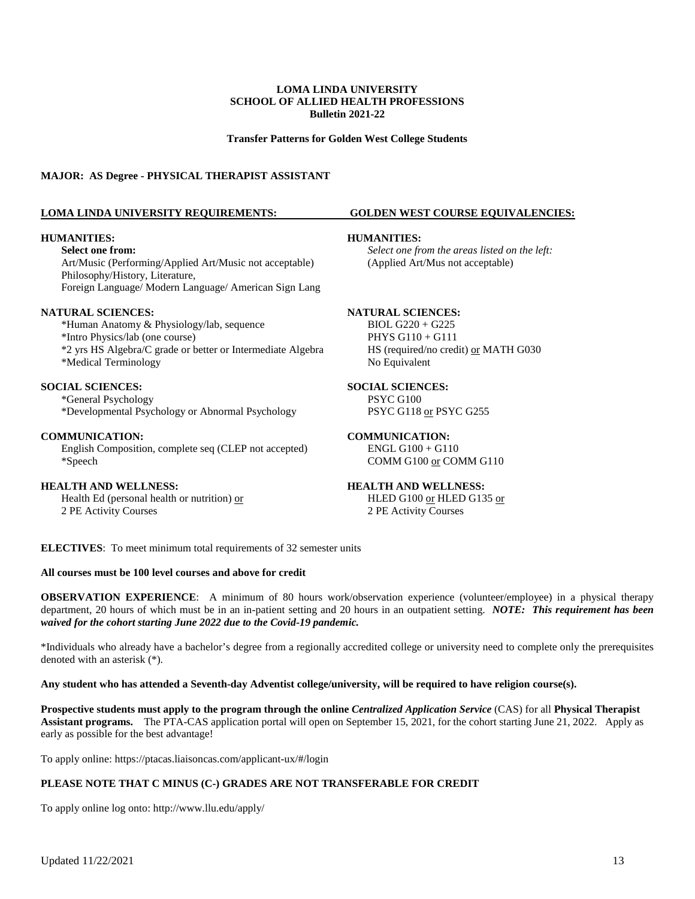**Transfer Patterns for Golden West College Students**

### **MAJOR: AS Degree - PHYSICAL THERAPIST ASSISTANT**

#### **LOMA LINDA UNIVERSITY REQUIREMENTS: GOLDEN WEST COURSE EQUIVALENCIES:**

#### **HUMANITIES: HUMANITIES:**

Art/Music (Performing/Applied Art/Music not acceptable) (Applied Art/Mus not acceptable) Philosophy/History, Literature, Foreign Language/ Modern Language/ American Sign Lang

**NATURAL SCIENCES:**<br>
\*Human Anatomy & Physiology/lab, sequence BIOL G220 + G225 \*Human Anatomy & Physiology/lab, sequence BIOL G220 + G225 \*Intro Physics/lab (one course) \*2 yrs HS Algebra/C grade or better or Intermediate Algebra HS (required/no credit) or MATH G030 \*Medical Terminology No Equivalent

### **SOCIAL SCIENCES: SOCIAL SCIENCES:**

\*General Psychology PSYC G100 \*Developmental Psychology or Abnormal Psychology

#### **COMMUNICATION: COMMUNICATION:**

English Composition, complete seq (CLEP not accepted) ENGL G100 + G110 \*Speech COMM G100 or COMM G110

**HEALTH AND WELLNESS:**<br> **HEALTH AND WELLNESS:**<br> **HEALTH AND WELLNESS:**<br> **HEALTH AND WELLNESS:**<br> **HEALTH AND WELLNESS:** Health Ed (personal health or nutrition)  $or$ 2 PE Activity Courses 2 PE Activity Courses

**Select one from:** *Select one from the areas listed on the left:*

**ELECTIVES**: To meet minimum total requirements of 32 semester units

### **All courses must be 100 level courses and above for credit**

**OBSERVATION EXPERIENCE**: A minimum of 80 hours work/observation experience (volunteer/employee) in a physical therapy department, 20 hours of which must be in an in-patient setting and 20 hours in an outpatient setting. *NOTE: This requirement has been waived for the cohort starting June 2022 due to the Covid-19 pandemic.*

\*Individuals who already have a bachelor's degree from a regionally accredited college or university need to complete only the prerequisites denoted with an asterisk (\*).

### **Any student who has attended a Seventh-day Adventist college/university, will be required to have religion course(s).**

**Prospective students must apply to the program through the online** *Centralized Application Service* (CAS) for all **Physical Therapist Assistant programs.** The PTA-CAS application portal will open on September 15, 2021, for the cohort starting June 21, 2022. Apply as early as possible for the best advantage!

To apply online:<https://ptacas.liaisoncas.com/applicant-ux/#/login>

### **PLEASE NOTE THAT C MINUS (C-) GRADES ARE NOT TRANSFERABLE FOR CREDIT**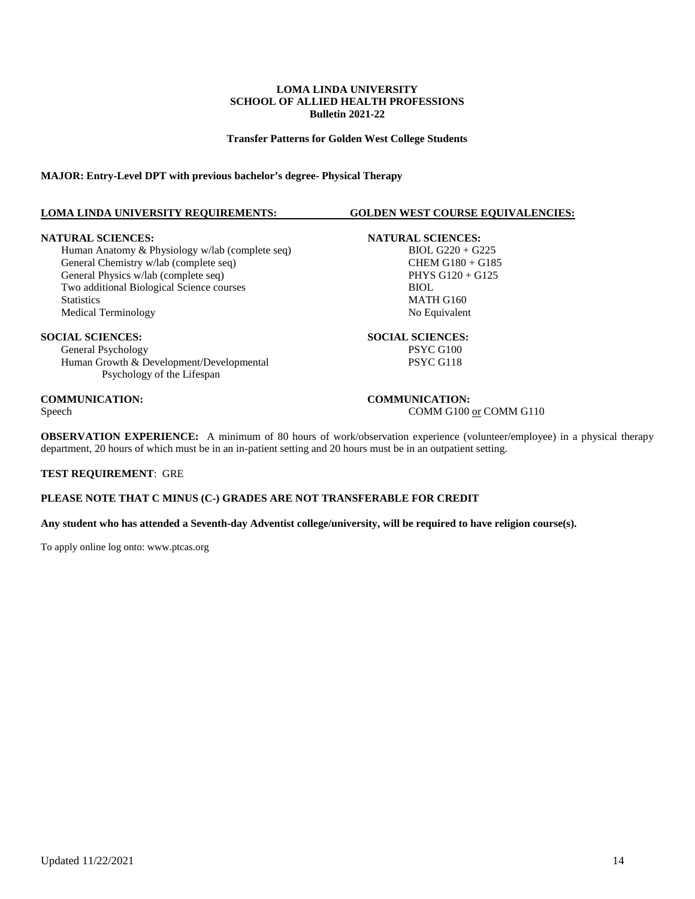**Transfer Patterns for Golden West College Students**

### **MAJOR: Entry-Level DPT with previous bachelor's degree- Physical Therapy**

### **LOMA LINDA UNIVERSITY REQUIREMENTS: GOLDEN WEST COURSE EQUIVALENCIES:**

**NATURAL SCIENCES:**<br>
Human Anatomy & Physiology w/lab (complete seq) BIOL G220 + G225 Human Anatomy & Physiology w/lab (complete seq) General Chemistry w/lab (complete seq) CHEM G180 + G185 General Physics w/lab (complete seq)  $PHYS G120 + G125$ Two additional Biological Science courses BIOL Statistics MATH G160<br>Medical Terminology and the statistic method of the Mondo Mondo Mondo Mondo Mondo Mondo Mondo Mondo Mondo Mondo<br>Mondo Mondo Mondo Mondo Mondo Mondo Mondo Mondo Mondo Mondo Mondo Mondo Mondo Mondo Mondo Medical Terminology

General Psychology<br>
Human Growth & Development/Developmental<br>
PSYC G118 Human Growth & Development/Developmental Psychology of the Lifespan

# **SOCIAL SCIENCES:**<br> **SOCIAL SCIENCES:**<br> **SOCIAL SCIENCES:**<br>
PSYC G100

### **COMMUNICATION:**<br>Speech **COMMUNICATION:**<br>COMM G100 COMM G100 or COMM G110

**OBSERVATION EXPERIENCE:** A minimum of 80 hours of work/observation experience (volunteer/employee) in a physical therapy department, 20 hours of which must be in an in-patient setting and 20 hours must be in an outpatient setting.

### **TEST REQUIREMENT**: GRE

### **PLEASE NOTE THAT C MINUS (C-) GRADES ARE NOT TRANSFERABLE FOR CREDIT**

**Any student who has attended a Seventh-day Adventist college/university, will be required to have religion course(s).**

To apply online log onto[: www.ptcas.org](http://www.ptcas.org/)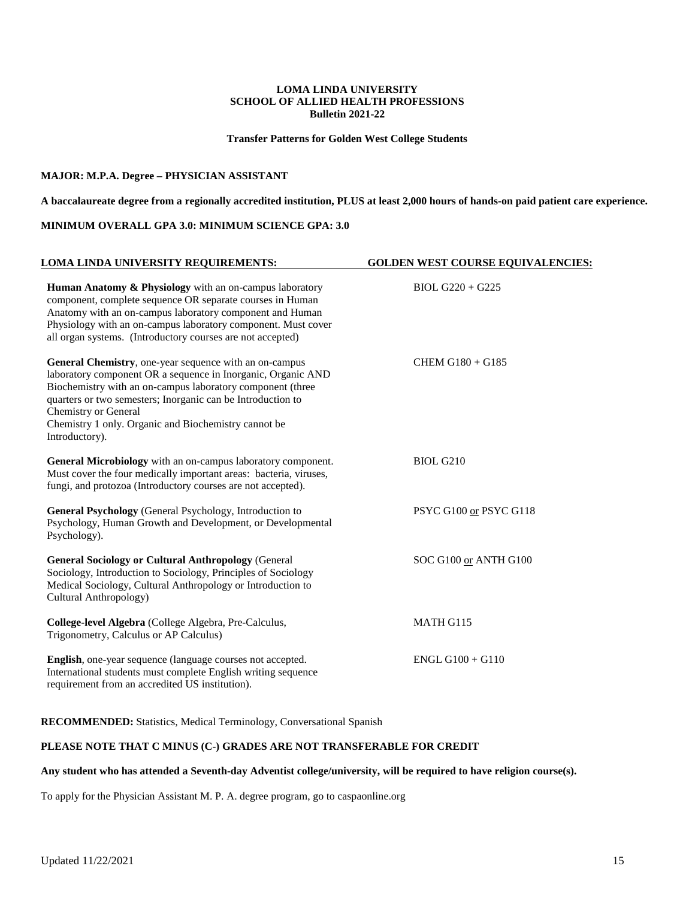**Transfer Patterns for Golden West College Students**

### **MAJOR: M.P.A. Degree – PHYSICIAN ASSISTANT**

**A baccalaureate degree from a regionally accredited institution, PLUS at least 2,000 hours of hands-on paid patient care experience.**

### **MINIMUM OVERALL GPA 3.0: MINIMUM SCIENCE GPA: 3.0**

| LOMA LINDA UNIVERSITY REQUIREMENTS:                                                                                                                                                                                                                                                                                                                   | <b>GOLDEN WEST COURSE EQUIVALENCIES:</b> |
|-------------------------------------------------------------------------------------------------------------------------------------------------------------------------------------------------------------------------------------------------------------------------------------------------------------------------------------------------------|------------------------------------------|
| Human Anatomy & Physiology with an on-campus laboratory<br>component, complete sequence OR separate courses in Human<br>Anatomy with an on-campus laboratory component and Human<br>Physiology with an on-campus laboratory component. Must cover<br>all organ systems. (Introductory courses are not accepted)                                       | $BIOL G220 + G225$                       |
| General Chemistry, one-year sequence with an on-campus<br>laboratory component OR a sequence in Inorganic, Organic AND<br>Biochemistry with an on-campus laboratory component (three<br>quarters or two semesters; Inorganic can be Introduction to<br>Chemistry or General<br>Chemistry 1 only. Organic and Biochemistry cannot be<br>Introductory). | CHEM G180 + G185                         |
| General Microbiology with an on-campus laboratory component.<br>Must cover the four medically important areas: bacteria, viruses,<br>fungi, and protozoa (Introductory courses are not accepted).                                                                                                                                                     | <b>BIOL G210</b>                         |
| General Psychology (General Psychology, Introduction to<br>Psychology, Human Growth and Development, or Developmental<br>Psychology).                                                                                                                                                                                                                 | PSYC G100 or PSYC G118                   |
| <b>General Sociology or Cultural Anthropology (General</b><br>Sociology, Introduction to Sociology, Principles of Sociology<br>Medical Sociology, Cultural Anthropology or Introduction to<br>Cultural Anthropology)                                                                                                                                  | SOC G100 or ANTH G100                    |
| College-level Algebra (College Algebra, Pre-Calculus,<br>Trigonometry, Calculus or AP Calculus)                                                                                                                                                                                                                                                       | MATH G115                                |
| English, one-year sequence (language courses not accepted.<br>International students must complete English writing sequence<br>requirement from an accredited US institution).                                                                                                                                                                        | $ENGL G100 + G110$                       |

**RECOMMENDED:** Statistics, Medical Terminology, Conversational Spanish

### **PLEASE NOTE THAT C MINUS (C-) GRADES ARE NOT TRANSFERABLE FOR CREDIT**

### **Any student who has attended a Seventh-day Adventist college/university, will be required to have religion course(s).**

To apply for the Physician Assistant M. P. A. degree program, go to caspaonline.org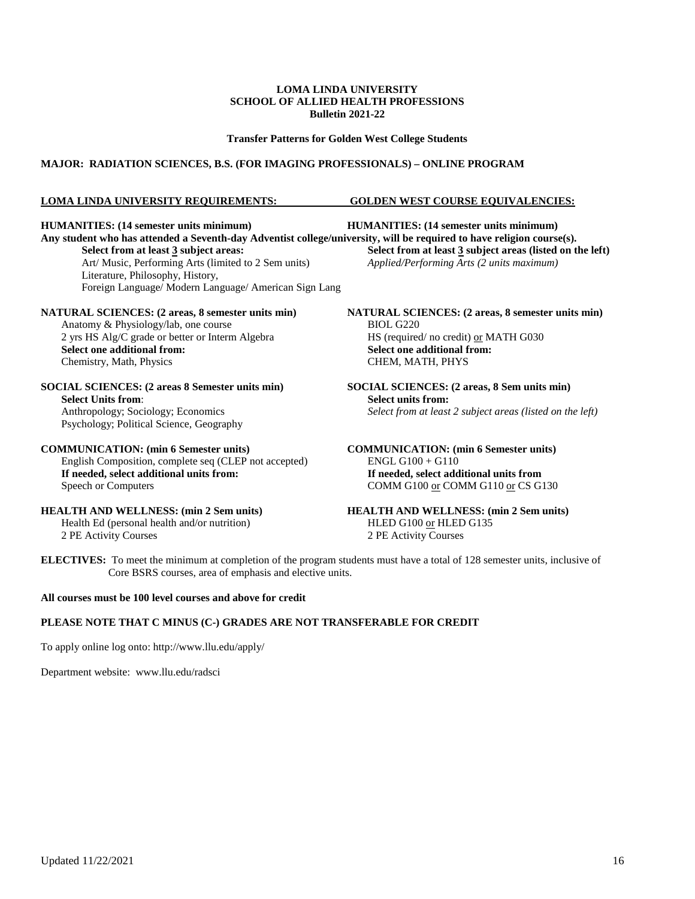### **Transfer Patterns for Golden West College Students**

### **MAJOR: RADIATION SCIENCES, B.S. (FOR IMAGING PROFESSIONALS) – ONLINE PROGRAM**

### **LOMA LINDA UNIVERSITY REQUIREMENTS: GOLDEN WEST COURSE EQUIVALENCIES:**

Any student who has attended a Seventh-day Adventist college/university, will be required to have religion course(s).<br>Select from at least 3 subject areas:<br>Select from at least 3 subject areas (listed on t Art/ Music, Performing Arts (limited to 2 Sem units) *Applied/Performing Arts (2 units maximum)* Literature, Philosophy, History, Foreign Language/ Modern Language/ American Sign Lang

Anatomy & Physiology/lab, one course 2 yrs HS Alg/C grade or better or Interm Algebra HS (required/ no credit) or MATH G030<br>Select one additional from:<br>Select one additional from: Chemistry, Math, Physics

**SOCIAL SCIENCES: (2 areas 8 Semester units min) SOCIAL SCIENCES: (2 areas, 8 Sem units min) Select Units from:**<br> **Select units from:**<br> **Select from at least**<br> **Select from at least** Psychology; Political Science, Geography

### **COMMUNICATION: (min 6 Semester units) COMMUNICATION: (min 6 Semester units)**

English Composition, complete seq (CLEP not accepted) ENGL G100 + G110 **If needed, select additional units from: If needed, select additional units from**<br>Speech or Computers **COMM G100** or COMM G110 or CS G

Health Ed (personal health and/or nutrition)<br>2 PE Activity Courses

**HUMANITIES: (14 semester units minimum) HUMANITIES: (14 semester units minimum) Select from at least 3** subject areas (listed on the left)

**NATURAL SCIENCES:** (2 areas, 8 semester units min)<br>Anatomy & Physiology/lab, one course BIOL G220 **Select one additional from:**<br>**CHEM, MATH, PHYS** 

Select from at least 2 subject areas (listed on the left)

COMM G100 or COMM G110 or CS G130

**HEALTH AND WELLNESS: (min 2 Sem units)**<br>HEALTH AND WELLNESS: (min 2 Sem units)<br>HLED G100 or HLED G135 2 PE Activity Courses 2 PE Activity Courses

**ELECTIVES:** To meet the minimum at completion of the program students must have a total of 128 semester units, inclusive of Core BSRS courses, area of emphasis and elective units.

### **All courses must be 100 level courses and above for credit**

### **PLEASE NOTE THAT C MINUS (C-) GRADES ARE NOT TRANSFERABLE FOR CREDIT**

To apply online log onto:<http://www.llu.edu/apply/>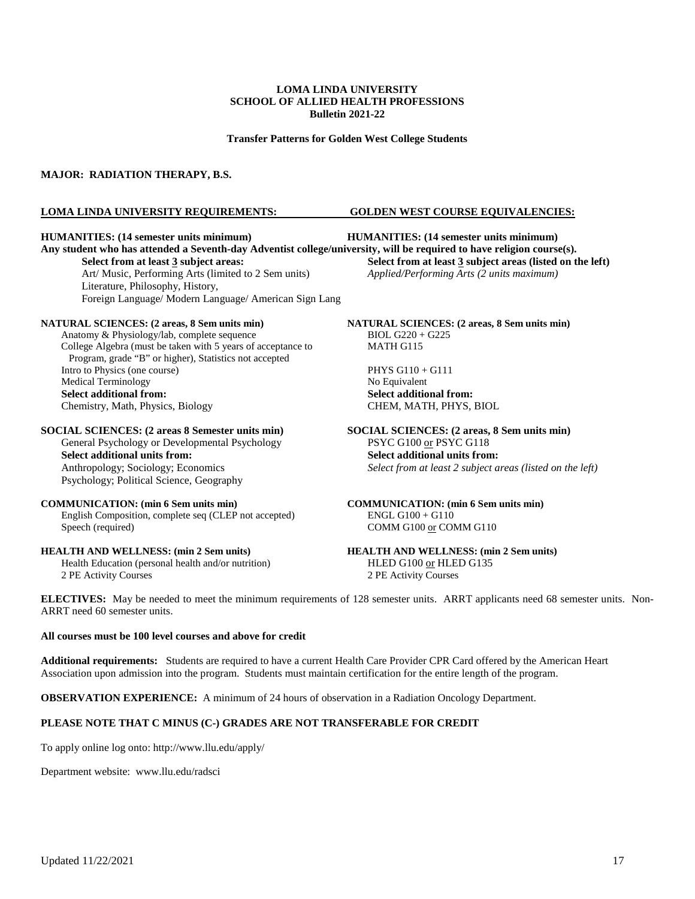**Transfer Patterns for Golden West College Students**

### **MAJOR: RADIATION THERAPY, B.S.**

### **LOMA LINDA UNIVERSITY REQUIREMENTS: GOLDEN WEST COURSE EQUIVALENCIES:**

#### **HUMANITIES: (14 semester units minimum) HUMANITIES: (14 semester units minimum)**

**Any student who has attended a Seventh-day Adventist college/university, will be required to have religion course(s). Select from at least 3 subject areas: Select from at least 3 subject areas (listed on the left)** Art/ Music, Performing Arts (limited to 2 Sem units) *Applied/Performing Arts (2 units maximum)* Art/ Music, Performing Arts (limited to 2 Sem units) Literature, Philosophy, History, Foreign Language/ Modern Language/ American Sign Lang

Anatomy & Physiology/lab, complete sequence BIOL G220 + G225<br>College Algebra (must be taken with 5 years of acceptance to MATH G115 College Algebra (must be taken with 5 years of acceptance to Program, grade "B" or higher), Statistics not accepted Intro to Physics (one course) PHYS G110 + G111 Medical Terminology **Select additional from:**<br> **Select additional from:**<br> **Select additional from:**<br> **Select additional from:**<br> **Select additional from:**<br> **Select additional from:** Chemistry, Math, Physics, Biology

**SOCIAL SCIENCES: (2 areas 8 Semester units min) SOCIAL SCIENCES: (2 areas, 8 Sem units min)** General Psychology or Developmental Psychology **SYC G100** or PSYC G118 General Psychology or Developmental Psychology **Select additional units from:**<br> **Select additional units from:**<br> **Select from at least 2 subject a**<br> **Select from at least 2 subject a** 

Psychology; Political Science, Geography

English Composition, complete seq (CLEP not accepted) ENGL G100 + G110 Speech (required) COMM G100 or COMM G110

Health Education (personal health and/or nutrition) 2 PE Activity Courses 2 PE Activity Courses

**NATURAL SCIENCES: (2 areas, 8 Sem units min) NATURAL SCIENCES: (2 areas, 8 Sem units min)**

Select from at least 2 subject areas (listed on the left)

**COMMUNICATION: (min 6 Sem units min) COMMUNICATION: (min 6 Sem units min)**

# **HEALTH AND WELLNESS: (min 2 Sem units)**<br> **HEALTH AND WELLNESS: (min 2 Sem units)**<br> **HEALTH AND WELLNESS: (min 2 Sem units)**<br> **HEALTH AND WELLNESS: (min 2 Sem units)**

**ELECTIVES:** May be needed to meet the minimum requirements of 128 semester units. ARRT applicants need 68 semester units. Non-ARRT need 60 semester units.

### **All courses must be 100 level courses and above for credit**

**Additional requirements:** Students are required to have a current Health Care Provider CPR Card offered by the American Heart Association upon admission into the program. Students must maintain certification for the entire length of the program.

**OBSERVATION EXPERIENCE:** A minimum of 24 hours of observation in a Radiation Oncology Department.

### **PLEASE NOTE THAT C MINUS (C-) GRADES ARE NOT TRANSFERABLE FOR CREDIT**

To apply online log onto:<http://www.llu.edu/apply/>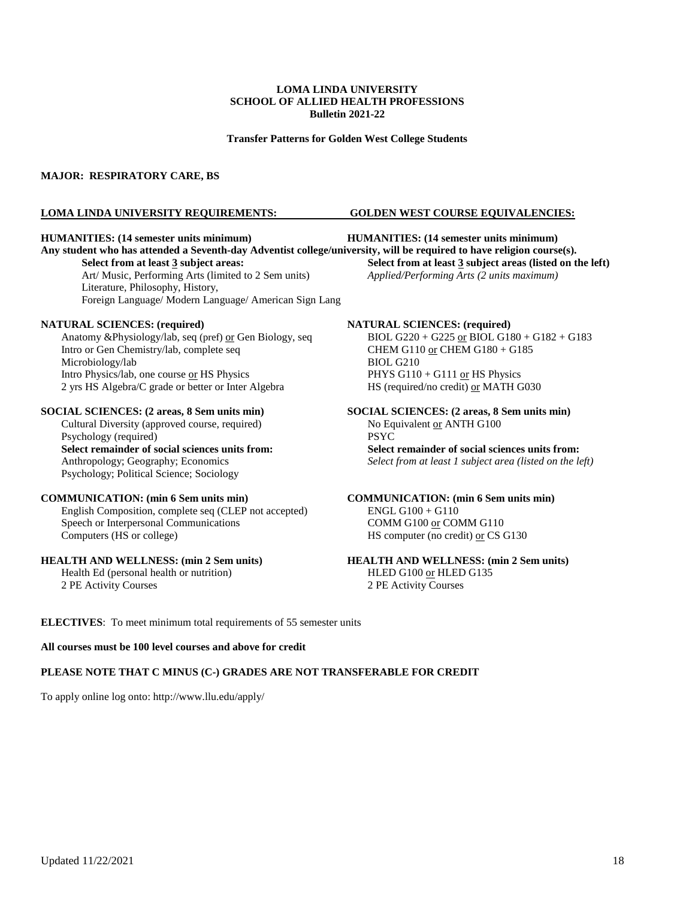**Transfer Patterns for Golden West College Students**

### **MAJOR: RESPIRATORY CARE, BS**

#### **LOMA LINDA UNIVERSITY REQUIREMENTS: GOLDEN WEST COURSE EQUIVALENCIES:**

**Any student who has attended a Seventh-day Adventist college/university, will be required to have religion course(s).**

Art/ Music, Performing Arts (limited to 2 Sem units) *Applied/Performing Arts (2 units maximum)* Literature, Philosophy, History, Foreign Language/ Modern Language/ American Sign Lang

Anatomy &Physiology/lab, seq (pref) <u>or</u> Gen Biology, seq BIOL G220 + G225 <u>or</u> BIOL G180 + C<br>Intro or Gen Chemistry/lab, complete seq CHEM G110 <u>or</u> CHEM G180 + G185 Intro or Gen Chemistry/lab, complete seq Microbiology/lab BIOL G210 Intro Physics/lab, one course or HS Physics PHYS G110 + G111 or HS Physics 2 yrs HS Algebra/C grade or better or Inter Algebra HS (required/no credit) or MATH G030

Cultural Diversity (approved course, required) No Eq<br>Psychology (required) PSYC Psychology (required) Psychology; Political Science; Sociology

English Composition, complete seq (CLEP not accepted) Speech or Interpersonal Communications COMM G100 or COMM G110 Computers (HS or college) HS computer (no credit) or CS G130

### **HEALTH AND WELLNESS: (min 2 Sem units) HEALTH AND WELLNESS: (min 2 Sem units)**

2 PE Activity Courses 2 PE Activity Courses

**HUMANITIES: (14 semester units minimum) HUMANITIES: (14 semester units minimum)**

**Select from at least 3 subject areas: Select from at least 3 subject areas (listed on the left)**

**NATURAL SCIENCES: (required)**<br>Anatomy &Physiology/lab, seq (pref) <u>or</u> Gen Biology, seq BIOL G220 + G225 <u>or</u> BIOL G180 + G182 + G183

**SOCIAL SCIENCES: (2 areas, 8 Sem units min)**<br>Cultural Diversity (approved course, required)<br>No Equivalent <u>or</u> ANTH G100 **Select remainder of social sciences units from: Select remainder of social sciences units from:** Anthropology; Geography; Economics *Select from at least 1 subject area (listed on the left)*

**COMMUNICATION: (min 6 Sem units min)**<br> **COMMUNICATION: (min 6 Sem units min)**<br> **COMMUNICATION: (min 6 Sem units min)**<br> **COMMUNICATION: (min 6 Sem units min)** 

Health Ed (personal health or nutrition) HLED G100 or HLED G135

**ELECTIVES**: To meet minimum total requirements of 55 semester units

### **All courses must be 100 level courses and above for credit**

### **PLEASE NOTE THAT C MINUS (C-) GRADES ARE NOT TRANSFERABLE FOR CREDIT**